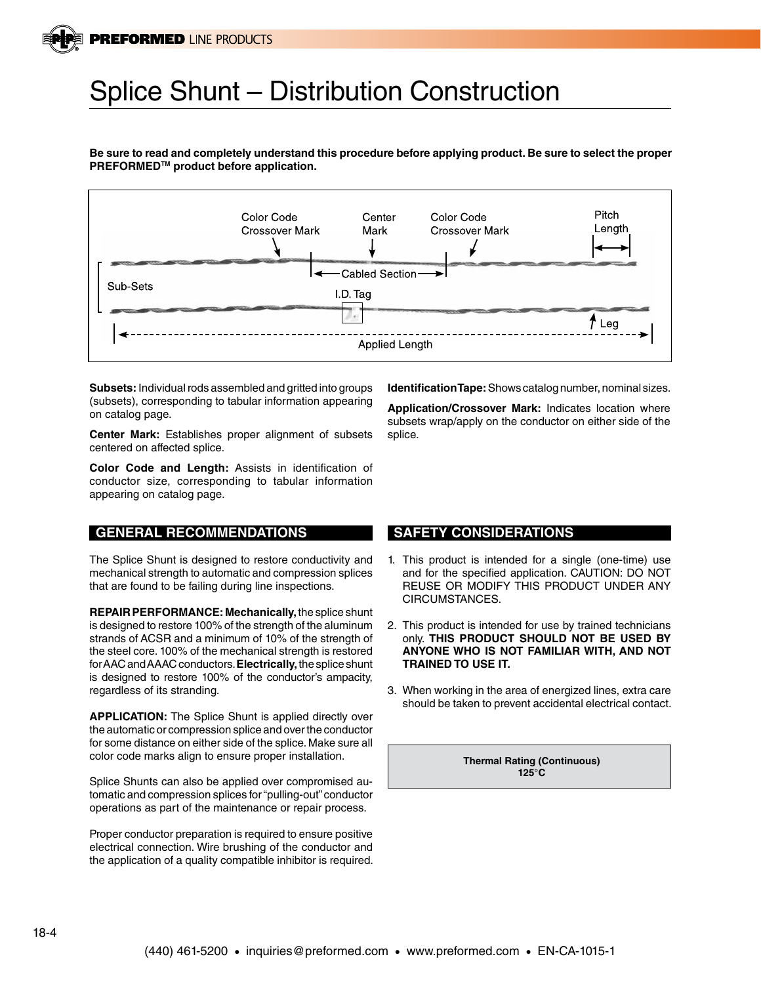## Splice Shunt – Distribution Construction

**Be sure to read and completely understand this procedure before applying product. Be sure to select the proper PREFORMEDTM product before application.**



**Subsets:** Individual rods assembled and gritted into groups (subsets), corresponding to tabular information appearing on catalog page.

**Center Mark:** Establishes proper alignment of subsets centered on affected splice.

**Color Code and Length:** Assists in identification of conductor size, corresponding to tabular information appearing on catalog page.

## **GENERAL RECOMMENDATIONS**

The Splice Shunt is designed to restore conductivity and mechanical strength to automatic and compression splices that are found to be failing during line inspections.

**REPAIR PERFORMANCE: Mechanically,** the splice shunt is designed to restore 100% of the strength of the aluminum strands of ACSR and a minimum of 10% of the strength of the steel core. 100% of the mechanical strength is restored for AAC and AAAC conductors. **Electrically,** the splice shunt is designed to restore 100% of the conductor's ampacity, regardless of its stranding.

**APPLICATION:** The Splice Shunt is applied directly over the automatic or compression splice and over the conductor for some distance on either side of the splice. Make sure all color code marks align to ensure proper installation.

Splice Shunts can also be applied over compromised automatic and compression splices for "pulling-out" conductor operations as part of the maintenance or repair process.

Proper conductor preparation is required to ensure positive electrical connection. Wire brushing of the conductor and the application of a quality compatible inhibitor is required. **Identification Tape:** Shows catalog number, nominal sizes.

**Application/Crossover Mark:** Indicates location where subsets wrap/apply on the conductor on either side of the splice.

## **SAFETY CONSIDERATIONS**

- 1. This product is intended for a single (one-time) use and for the specified application. CAUTION: DO NOT REUSE OR MODIFY THIS PRODUCT UNDER ANY CIRCUMSTANCES.
- 2. This product is intended for use by trained technicians only. **THIS PRODUCT SHOULD NOT BE USED BY ANYONE WHO IS NOT FAMILIAR WITH, AND NOT TRAINED TO USE IT.**
- 3. When working in the area of energized lines, extra care should be taken to prevent accidental electrical contact.

**Thermal Rating (Continuous) 125°C**